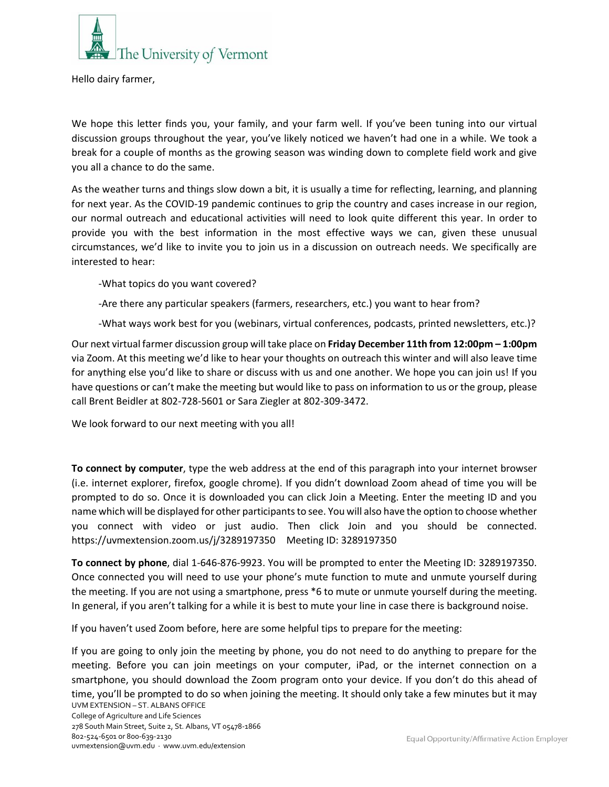

Hello dairy farmer,

We hope this letter finds you, your family, and your farm well. If you've been tuning into our virtual discussion groups throughout the year, you've likely noticed we haven't had one in a while. We took a break for a couple of months as the growing season was winding down to complete field work and give you all a chance to do the same.

As the weather turns and things slow down a bit, it is usually a time for reflecting, learning, and planning for next year. As the COVID-19 pandemic continues to grip the country and cases increase in our region, our normal outreach and educational activities will need to look quite different this year. In order to provide you with the best information in the most effective ways we can, given these unusual circumstances, we'd like to invite you to join us in a discussion on outreach needs. We specifically are interested to hear:

-What topics do you want covered?

- -Are there any particular speakers (farmers, researchers, etc.) you want to hear from?
- -What ways work best for you (webinars, virtual conferences, podcasts, printed newsletters, etc.)?

Our next virtual farmer discussion group will take place on **Friday December 11th from 12:00pm – 1:00pm**  via Zoom. At this meeting we'd like to hear your thoughts on outreach this winter and will also leave time for anything else you'd like to share or discuss with us and one another. We hope you can join us! If you have questions or can't make the meeting but would like to pass on information to us or the group, please call Brent Beidler at 802-728-5601 or Sara Ziegler at 802-309-3472.

We look forward to our next meeting with you all!

**To connect by computer**, type the web address at the end of this paragraph into your internet browser (i.e. internet explorer, firefox, google chrome). If you didn't download Zoom ahead of time you will be prompted to do so. Once it is downloaded you can click Join a Meeting. Enter the meeting ID and you name which will be displayed for other participants to see. You will also have the option to choose whether you connect with video or just audio. Then click Join and you should be connected. https://uvmextension.zoom.us/j/3289197350 Meeting ID: 3289197350

**To connect by phone**, dial 1-646-876-9923. You will be prompted to enter the Meeting ID: 3289197350. Once connected you will need to use your phone's mute function to mute and unmute yourself during the meeting. If you are not using a smartphone, press \*6 to mute or unmute yourself during the meeting. In general, if you aren't talking for a while it is best to mute your line in case there is background noise.

If you haven't used Zoom before, here are some helpful tips to prepare for the meeting:

UVM EXTENSION – ST. ALBANS OFFICE If you are going to only join the meeting by phone, you do not need to do anything to prepare for the meeting. Before you can join meetings on your computer, iPad, or the internet connection on a smartphone, you should download the Zoom program onto your device. If you don't do this ahead of time, you'll be prompted to do so when joining the meeting. It should only take a few minutes but it may